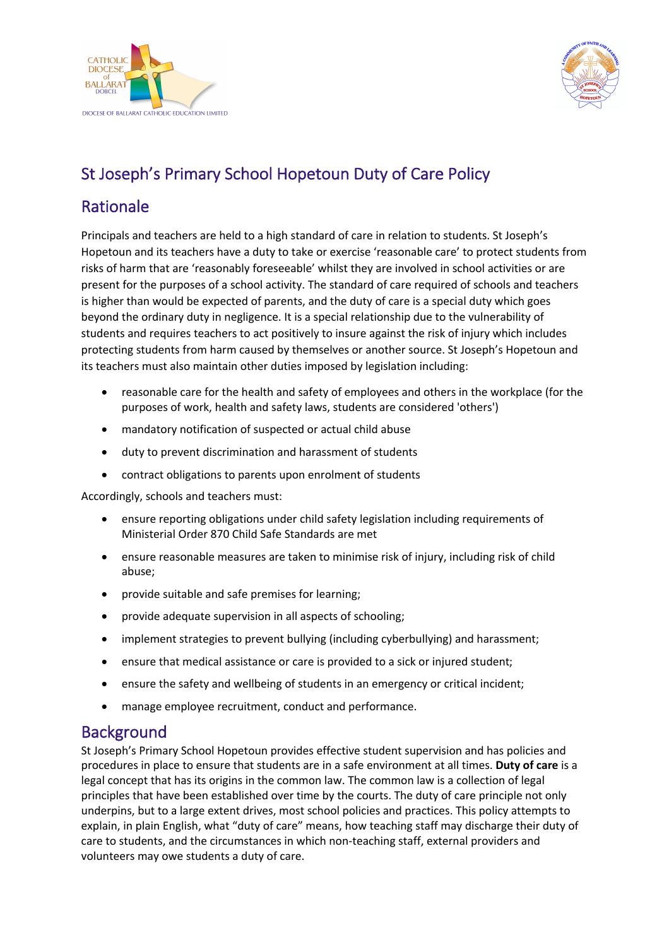



# St Joseph's Primary School Hopetoun Duty of Care Policy

## Rationale

Principals and teachers are held to a high standard of care in relation to students. St Joseph's Hopetoun and its teachers have a duty to take or exercise 'reasonable care' to protect students from risks of harm that are 'reasonably foreseeable' whilst they are involved in school activities or are present for the purposes of a school activity. The standard of care required of schools and teachers is higher than would be expected of parents, and the duty of care is a special duty which goes beyond the ordinary duty in negligence. It is a special relationship due to the vulnerability of students and requires teachers to act positively to insure against the risk of injury which includes protecting students from harm caused by themselves or another source. St Joseph's Hopetoun and its teachers must also maintain other duties imposed by legislation including:

- reasonable care for the health and safety of employees and others in the workplace (for the purposes of work, health and safety laws, students are considered 'others')
- mandatory notification of suspected or actual child abuse
- duty to prevent discrimination and harassment of students
- contract obligations to parents upon enrolment of students

Accordingly, schools and teachers must:

- ensure reporting obligations under child safety legislation including requirements of Ministerial Order 870 Child Safe Standards are met
- ensure reasonable measures are taken to minimise risk of injury, including risk of child abuse;
- provide suitable and safe premises for learning;
- provide adequate supervision in all aspects of schooling;
- implement strategies to prevent bullying (including cyberbullying) and harassment;
- ensure that medical assistance or care is provided to a sick or injured student;
- ensure the safety and wellbeing of students in an emergency or critical incident;
- manage employee recruitment, conduct and performance.

#### **Background**

St Joseph's Primary School Hopetoun provides effective student supervision and has policies and procedures in place to ensure that students are in a safe environment at all times. **Duty of care** is a legal concept that has its origins in the common law. The common law is a collection of legal principles that have been established over time by the courts. The duty of care principle not only underpins, but to a large extent drives, most school policies and practices. This policy attempts to explain, in plain English, what "duty of care" means, how teaching staff may discharge their duty of care to students, and the circumstances in which non-teaching staff, external providers and volunteers may owe students a duty of care.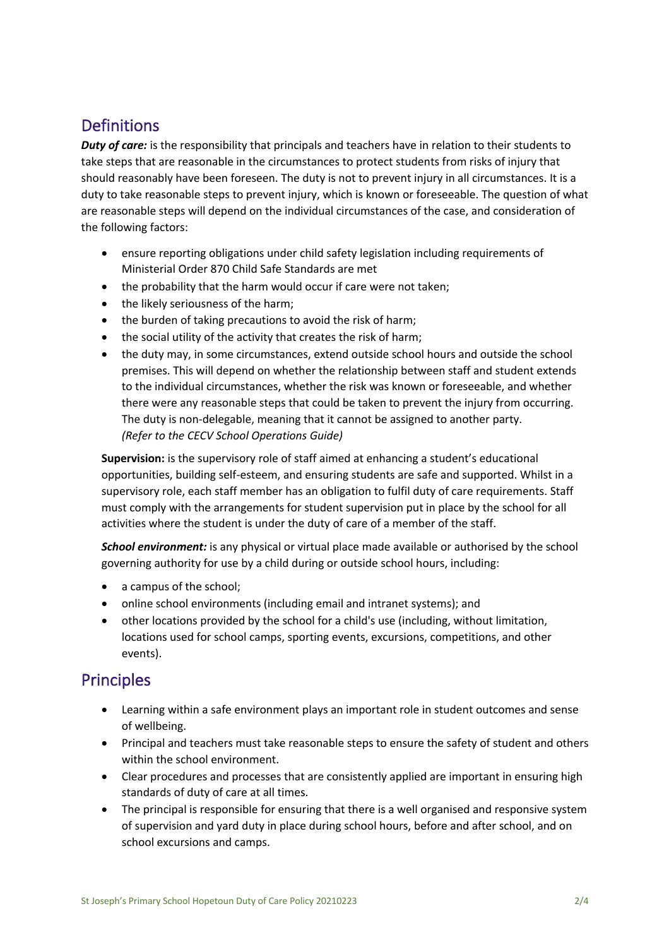## **Definitions**

*Duty of care:* is the responsibility that principals and teachers have in relation to their students to take steps that are reasonable in the circumstances to protect students from risks of injury that should reasonably have been foreseen. The duty is not to prevent injury in all circumstances. It is a duty to take reasonable steps to prevent injury, which is known or foreseeable. The question of what are reasonable steps will depend on the individual circumstances of the case, and consideration of the following factors:

- ensure reporting obligations under child safety legislation including requirements of Ministerial Order 870 Child Safe Standards are met
- the probability that the harm would occur if care were not taken;
- the likely seriousness of the harm;
- the burden of taking precautions to avoid the risk of harm;
- the social utility of the activity that creates the risk of harm;
- the duty may, in some circumstances, extend outside school hours and outside the school premises. This will depend on whether the relationship between staff and student extends to the individual circumstances, whether the risk was known or foreseeable, and whether there were any reasonable steps that could be taken to prevent the injury from occurring. The duty is non-delegable, meaning that it cannot be assigned to another party. *(Refer to the CECV School Operations Guide)*

**Supervision:** is the supervisory role of staff aimed at enhancing a student's educational opportunities, building self-esteem, and ensuring students are safe and supported. Whilst in a supervisory role, each staff member has an obligation to fulfil duty of care requirements. Staff must comply with the arrangements for student supervision put in place by the school for all activities where the student is under the duty of care of a member of the staff.

*School environment:* is any physical or virtual place made available or authorised by the school governing authority for use by a child during or outside school hours, including:

- a campus of the school;
- online school environments (including email and intranet systems); and
- other locations provided by the school for a child's use (including, without limitation, locations used for school camps, sporting events, excursions, competitions, and other events).

#### **Principles**

- Learning within a safe environment plays an important role in student outcomes and sense of wellbeing.
- Principal and teachers must take reasonable steps to ensure the safety of student and others within the school environment.
- Clear procedures and processes that are consistently applied are important in ensuring high standards of duty of care at all times.
- The principal is responsible for ensuring that there is a well organised and responsive system of supervision and yard duty in place during school hours, before and after school, and on school excursions and camps.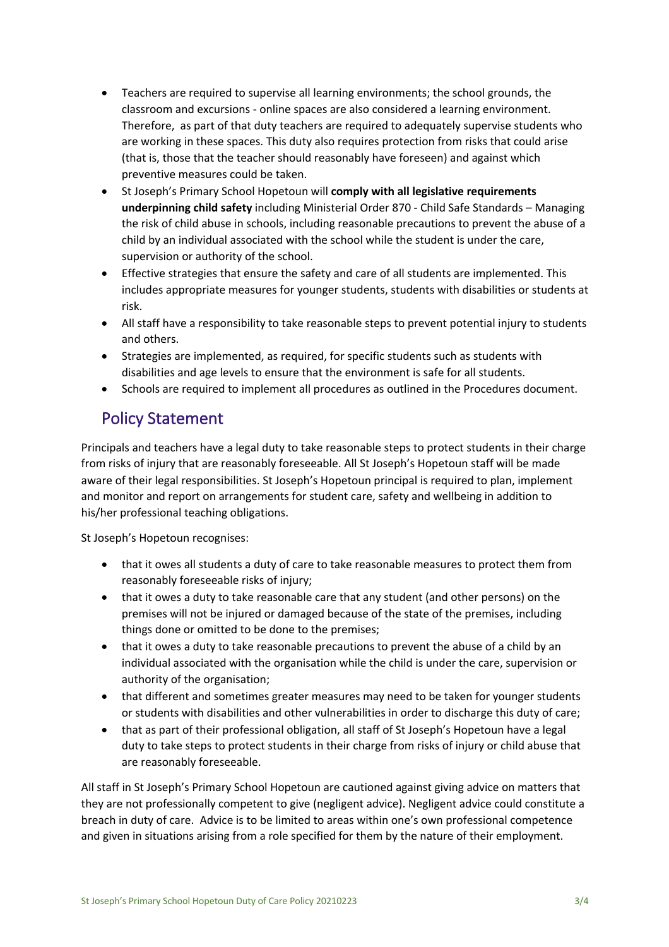- Teachers are required to supervise all learning environments; the school grounds, the classroom and excursions - online spaces are also considered a learning environment. Therefore, as part of that duty teachers are required to adequately supervise students who are working in these spaces. This duty also requires protection from risks that could arise (that is, those that the teacher should reasonably have foreseen) and against which preventive measures could be taken.
- St Joseph's Primary School Hopetoun will **comply with all legislative requirements underpinning child safety** including Ministerial Order 870 - Child Safe Standards – Managing the risk of child abuse in schools, including reasonable precautions to prevent the abuse of a child by an individual associated with the school while the student is under the care, supervision or authority of the school.
- Effective strategies that ensure the safety and care of all students are implemented. This includes appropriate measures for younger students, students with disabilities or students at risk.
- All staff have a responsibility to take reasonable steps to prevent potential injury to students and others.
- Strategies are implemented, as required, for specific students such as students with disabilities and age levels to ensure that the environment is safe for all students.
- Schools are required to implement all procedures as outlined in the Procedures document.

## Policy Statement

Principals and teachers have a legal duty to take reasonable steps to protect students in their charge from risks of injury that are reasonably foreseeable. All St Joseph's Hopetoun staff will be made aware of their legal responsibilities. St Joseph's Hopetoun principal is required to plan, implement and monitor and report on arrangements for student care, safety and wellbeing in addition to his/her professional teaching obligations.

St Joseph's Hopetoun recognises:

- that it owes all students a duty of care to take reasonable measures to protect them from reasonably foreseeable risks of injury;
- that it owes a duty to take reasonable care that any student (and other persons) on the premises will not be injured or damaged because of the state of the premises, including things done or omitted to be done to the premises;
- that it owes a duty to take reasonable precautions to prevent the abuse of a child by an individual associated with the organisation while the child is under the care, supervision or authority of the organisation;
- that different and sometimes greater measures may need to be taken for younger students or students with disabilities and other vulnerabilities in order to discharge this duty of care;
- that as part of their professional obligation, all staff of St Joseph's Hopetoun have a legal duty to take steps to protect students in their charge from risks of injury or child abuse that are reasonably foreseeable.

All staff in St Joseph's Primary School Hopetoun are cautioned against giving advice on matters that they are not professionally competent to give (negligent advice). Negligent advice could constitute a breach in duty of care. Advice is to be limited to areas within one's own professional competence and given in situations arising from a role specified for them by the nature of their employment.